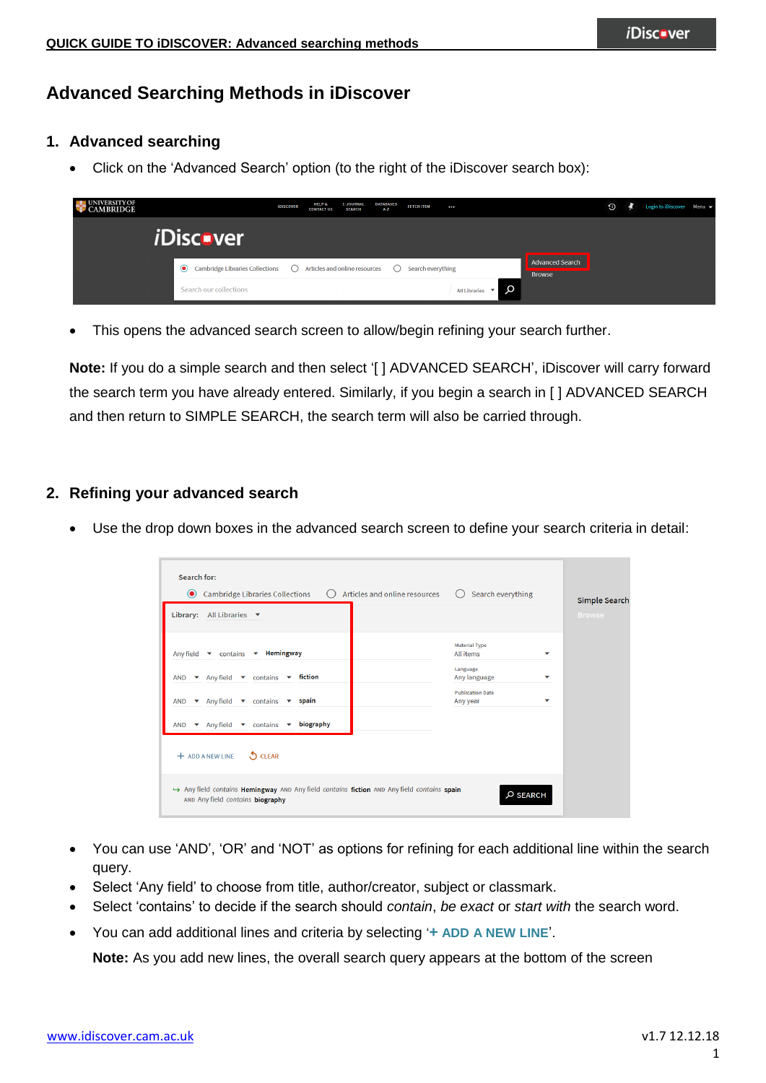# **Advanced Searching Methods in iDiscover**

### **1. Advanced searching**

Click on the 'Advanced Search' option (to the right of the iDiscover search box):

| UNIVERSITY OF<br><b>CAMBRIDGE</b> |                                                                                                         | <b>IDISCOVER</b> | <b>HELP &amp;</b><br><b>CONTACT US</b> | <b>E-JOURNAL</b><br><b>SEARCH</b> | DATABASES<br>A-Z | <b>FETCH ITEM</b> | $\cdots$                                 |          |                                         | $\odot$ | Login to iDiscover Menu v |  |
|-----------------------------------|---------------------------------------------------------------------------------------------------------|------------------|----------------------------------------|-----------------------------------|------------------|-------------------|------------------------------------------|----------|-----------------------------------------|---------|---------------------------|--|
|                                   | <i><b>iDiscover</b></i>                                                                                 |                  |                                        |                                   |                  |                   |                                          |          |                                         |         |                           |  |
|                                   | • Cambridge Libraries Collections $\bigcirc$ Articles and online resources $\bigcirc$ Search everything |                  |                                        |                                   |                  |                   |                                          |          | <b>Advanced Search</b><br><b>Browse</b> |         |                           |  |
|                                   | Search our collections                                                                                  |                  |                                        |                                   |                  |                   | All Libraries $\quad \blacktriangledown$ | $\Omega$ |                                         |         |                           |  |

This opens the advanced search screen to allow/begin refining your search further.

**Note:** If you do a simple search and then select '[ ] ADVANCED SEARCH', iDiscover will carry forward the search term you have already entered. Similarly, if you begin a search in [ ] ADVANCED SEARCH and then return to SIMPLE SEARCH, the search term will also be carried through.

#### **2. Refining your advanced search**

Use the drop down boxes in the advanced search screen to define your search criteria in detail:

| Cambridge Libraries Collections<br>Articles and online resources<br>( )<br>$\left( \bullet \right)$<br>All Libraries $\blacktriangledown$<br>Library:                              | Search everything                                    | Simple Search<br><b>Browse</b> |
|------------------------------------------------------------------------------------------------------------------------------------------------------------------------------------|------------------------------------------------------|--------------------------------|
| $\bullet$ contains $\bullet$ Hemingway<br>Any field                                                                                                                                | <b>Material Type</b><br><b>All items</b><br>Language | ▼                              |
| $\bullet$ Any field $\bullet$ contains $\bullet$ fiction<br><b>AND</b><br>$\blacktriangleright$ Any field $\blacktriangleright$ contains $\blacktriangleright$ spain<br><b>AND</b> | Any language<br><b>Publication Date</b><br>Any year  | ▼<br>▼                         |
| biography<br>Any field<br>$\bullet$ contains $\bullet$<br><b>AND</b><br>$\mathbf{v}$<br><b>J</b> CLEAR<br>$+$ ADD A NEW LINE                                                       |                                                      |                                |
| Any field contains Hemingway AND Any field contains fiction AND Any field contains spain<br>AND Any field contains biography                                                       | $O$ SEARCH                                           |                                |

- You can use 'AND', 'OR' and 'NOT' as options for refining for each additional line within the search query.
- Select 'Any field' to choose from title, author/creator, subject or classmark.
- Select 'contains' to decide if the search should *contain*, *be exact* or *start with* the search word.
- You can add additional lines and criteria by selecting '**+ ADD A NEW LINE**'.

**Note:** As you add new lines, the overall search query appears at the bottom of the screen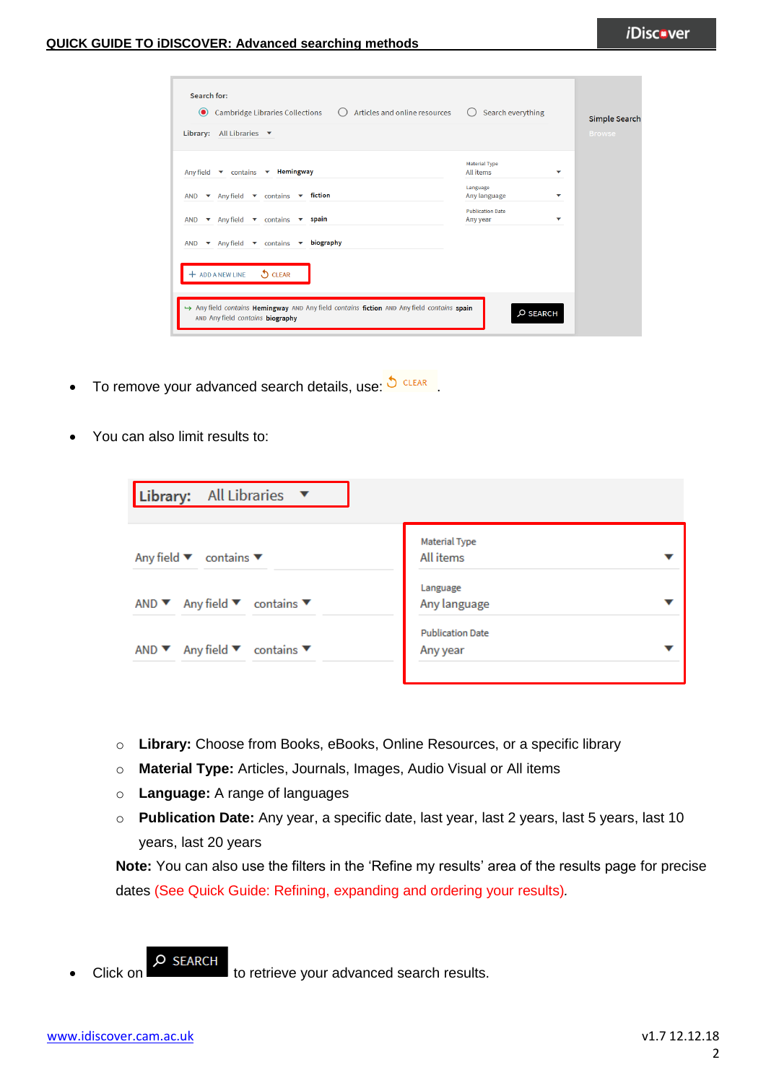| <b>Cambridge Libraries Collections</b><br>Articles and online resources<br>$\circledbullet$<br><b>Library:</b> All Libraries $\blacktriangledown$ | Search everything                   |            | Simple Search<br><b>Browse</b> |
|---------------------------------------------------------------------------------------------------------------------------------------------------|-------------------------------------|------------|--------------------------------|
| Any field v contains v Hemingway                                                                                                                  | <b>Material Type</b><br>All items   | ▼          |                                |
| $\bullet$ Any field $\bullet$ contains $\bullet$ fiction<br><b>AND</b>                                                                            | Language<br>Any language            | ▼          |                                |
| $\bullet$ Any field $\bullet$ contains $\bullet$ spain<br><b>AND</b>                                                                              | <b>Publication Date</b><br>Any year | ▼          |                                |
| ▼ Any field ▼ contains ▼ biography<br><b>AND</b>                                                                                                  |                                     |            |                                |
| <b>D</b> CLEAR<br>$+$ ADD A NEW LINE                                                                                                              |                                     |            |                                |
|                                                                                                                                                   |                                     |            |                                |
| Any field contains Hemingway AND Any field contains fiction AND Any field contains spain<br>AND Any field contains biography                      |                                     | $O$ SEARCH |                                |

- To remove your advanced search details, use:  $\bigcirc$  CLEAR
- You can also limit results to:

| Library: All Libraries                                                                |                                     |  |
|---------------------------------------------------------------------------------------|-------------------------------------|--|
| Any field $\blacktriangledown$ contains $\nabla$                                      | <b>Material Type</b><br>All items   |  |
| AND $\blacktriangledown$ Any field $\blacktriangledown$ contains $\blacktriangledown$ | Language<br>Any language            |  |
| AND $\blacktriangledown$ Any field $\blacktriangledown$ contains $\blacktriangledown$ | <b>Publication Date</b><br>Any year |  |

- o **Library:** Choose from Books, eBooks, Online Resources, or a specific library
- o **Material Type:** Articles, Journals, Images, Audio Visual or All items
- o **Language:** A range of languages
- o **Publication Date:** Any year, a specific date, last year, last 2 years, last 5 years, last 10 years, last 20 years

**Note:** You can also use the filters in the 'Refine my results' area of the results page for precise dates (See Quick Guide: Refining, expanding and ordering your results)*.*

Click on **C** SEARCH to retrieve your advanced search results.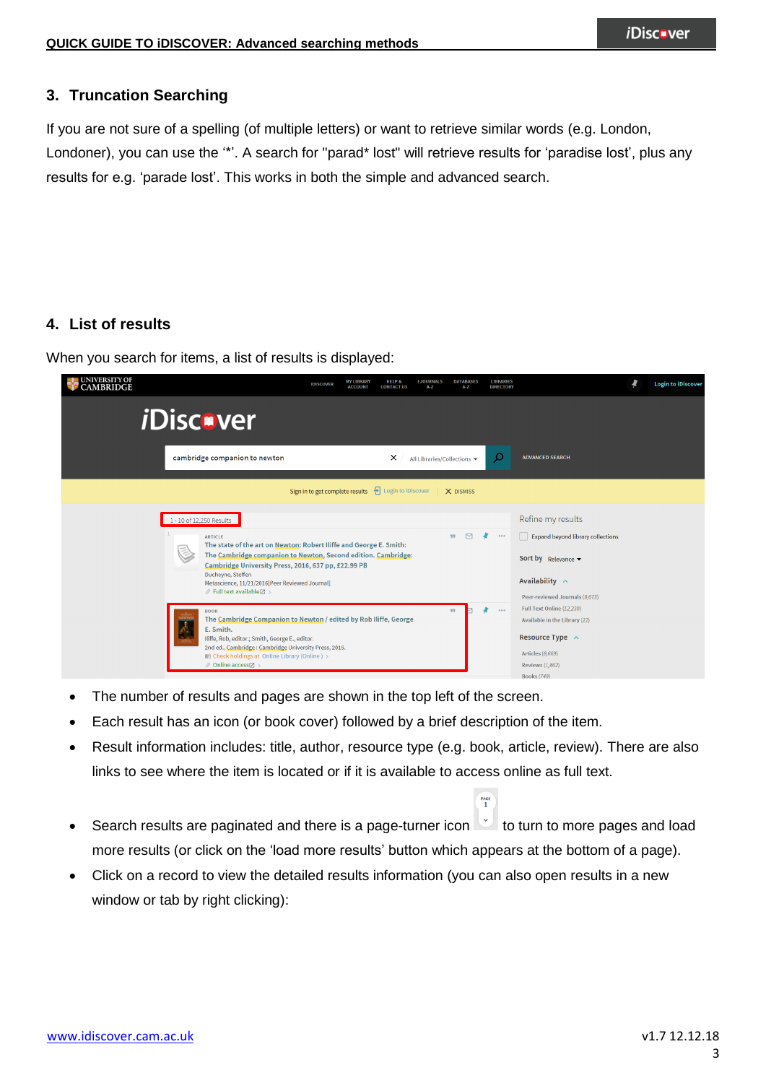## **3. Truncation Searching**

If you are not sure of a spelling (of multiple letters) or want to retrieve similar words (e.g. London, Londoner), you can use the '\*'. A search for "parad\* lost" will retrieve results for 'paradise lost', plus any results for e.g. 'parade lost'. This works in both the simple and advanced search.

## **4. List of results**

When you search for items, a list of results is displayed:

| UNIVERSITY OF CAMBRIDGE | <b>IDISCOVER</b>                                                                                                                                                                                                                                                                                                                                                  | <b>MY LIBRARY</b><br><b>HELP &amp;</b><br><b>EJOURNALS</b><br><b>ACCOUNT</b><br><b>CONTACT US</b><br>$A - Z$ | <b>DATABASES</b><br><b>LIBRARIES</b><br>A-Z<br><b>DIRECTORY</b> |                                                                                                                                                        | <b>Login to iDiscover</b> |
|-------------------------|-------------------------------------------------------------------------------------------------------------------------------------------------------------------------------------------------------------------------------------------------------------------------------------------------------------------------------------------------------------------|--------------------------------------------------------------------------------------------------------------|-----------------------------------------------------------------|--------------------------------------------------------------------------------------------------------------------------------------------------------|---------------------------|
|                         | <i>i</i> Discover                                                                                                                                                                                                                                                                                                                                                 |                                                                                                              |                                                                 |                                                                                                                                                        |                           |
|                         | cambridge companion to newton                                                                                                                                                                                                                                                                                                                                     | ×                                                                                                            | ρ<br>All Libraries/Collections ▼                                | <b>ADVANCED SEARCH</b>                                                                                                                                 |                           |
|                         | Sign in to get complete results                                                                                                                                                                                                                                                                                                                                   | <b>+</b> Login to iDiscover                                                                                  | X DISMISS                                                       |                                                                                                                                                        |                           |
|                         | 1 - 10 of 12,250 Results<br><b>ARTICLE</b><br>The state of the art on Newton: Robert Iliffe and George E. Smith:<br>The Cambridge companion to Newton, Second edition. Cambridge:<br>Cambridge University Press, 2016, 637 pp, £22.99 PB<br>Ducheyne, Steffen<br>Metascience, 11/21/2016 [Peer Reviewed Journal]<br>$\mathcal{O}$ Full text available $\boxtimes$ |                                                                                                              | $\triangleright$<br>99<br>$-0.0.0$                              | Refine my results<br><b>Expand beyond library collections</b><br>Sort by Relevance v<br>Availability $\sim$<br>Peer-reviewed Journals (9,673)          |                           |
|                         | <b>BOOK</b><br>The Cambridge Companion to Newton / edited by Rob Iliffe, George<br>E. Smith.<br>Iliffe, Rob, editor.; Smith, George E., editor.<br>2nd ed., Cambridge: Cambridge University Press, 2016.<br>ILI Check holdings at Online Library (Online) ><br>$\mathcal O$ Online access $\boxtimes$                                                             |                                                                                                              | $\cdots$<br>99                                                  | Full Text Online (12,230)<br>Available in the Library (22)<br>Resource Type $\sim$<br>Articles (8,669)<br><b>Reviews (1,862)</b><br><b>Books (749)</b> |                           |

- The number of results and pages are shown in the top left of the screen.
- Each result has an icon (or book cover) followed by a brief description of the item.
- Result information includes: title, author, resource type (e.g. book, article, review). There are also links to see where the item is located or if it is available to access online as full text.

 $rac{PAGE}{1}$ 

- Search results are paginated and there is a page-turner icon the turn to more pages and load more results (or click on the 'load more results' button which appears at the bottom of a page).
- Click on a record to view the detailed results information (you can also open results in a new window or tab by right clicking):